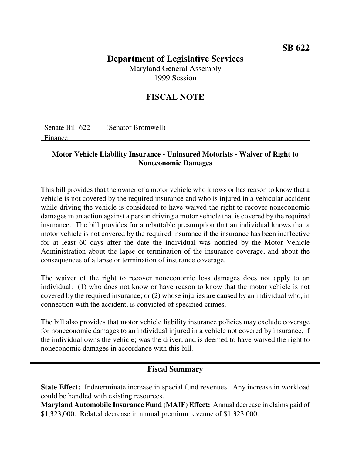# **SB 622**

## **Department of Legislative Services** Maryland General Assembly

1999 Session

# **FISCAL NOTE**

| Senate Bill 622 | (Senator Bromwell) |
|-----------------|--------------------|
| Finance         |                    |

#### **Motor Vehicle Liability Insurance - Uninsured Motorists - Waiver of Right to Noneconomic Damages**

This bill provides that the owner of a motor vehicle who knows or has reason to know that a vehicle is not covered by the required insurance and who is injured in a vehicular accident while driving the vehicle is considered to have waived the right to recover noneconomic damages in an action against a person driving a motor vehicle that is covered by the required insurance. The bill provides for a rebuttable presumption that an individual knows that a motor vehicle is not covered by the required insurance if the insurance has been ineffective for at least 60 days after the date the individual was notified by the Motor Vehicle Administration about the lapse or termination of the insurance coverage, and about the consequences of a lapse or termination of insurance coverage.

The waiver of the right to recover noneconomic loss damages does not apply to an individual: (1) who does not know or have reason to know that the motor vehicle is not covered by the required insurance; or (2) whose injuries are caused by an individual who, in connection with the accident, is convicted of specified crimes.

The bill also provides that motor vehicle liability insurance policies may exclude coverage for noneconomic damages to an individual injured in a vehicle not covered by insurance, if the individual owns the vehicle; was the driver; and is deemed to have waived the right to noneconomic damages in accordance with this bill.

## **Fiscal Summary**

**State Effect:** Indeterminate increase in special fund revenues. Any increase in workload could be handled with existing resources.

**Maryland Automobile Insurance Fund (MAIF) Effect:** Annual decrease in claims paid of \$1,323,000. Related decrease in annual premium revenue of \$1,323,000.